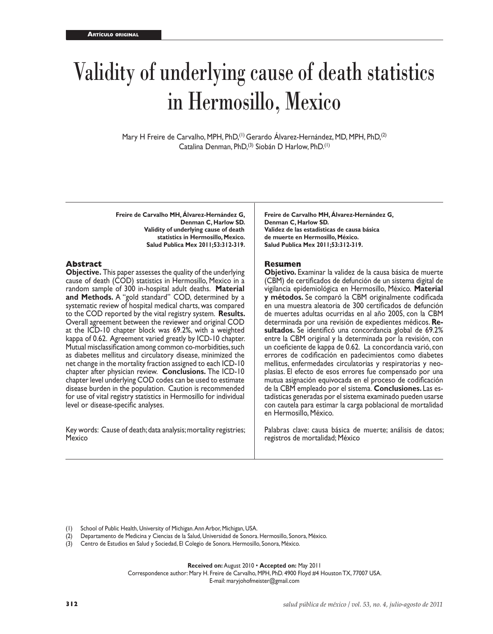# Validity of underlying cause of death statistics in Hermosillo, Mexico

Mary H Freire de Carvalho, MPH, PhD,<sup>(1)</sup> Gerardo Álvarez-Hernández, MD, MPH, PhD,<sup>(2)</sup> Catalina Denman, PhD,(3) Siobán D Harlow, PhD.(1)

**Freire de Carvalho MH, Álvarez-Hernández G, Denman C, Harlow SD. Validity of underlying cause of death statistics in Hermosillo, Mexico. Salud Publica Mex 2011;53:312-319.**

### **Abstract**

**Objective.** This paper assesses the quality of the underlying cause of death (COD) statistics in Hermosillo, Mexico in a random sample of 300 in-hospital adult deaths. **Material and Methods.** A "gold standard" COD, determined by a systematic review of hospital medical charts, was compared to the COD reported by the vital registry system. **Results.**  Overall agreement between the reviewer and original COD at the ICD-10 chapter block was 69.2%, with a weighted kappa of 0.62. Agreement varied greatly by ICD-10 chapter. Mutual misclassification among common co-morbidities, such as diabetes mellitus and circulatory disease, minimized the net change in the mortality fraction assigned to each ICD-10 chapter after physician review. **Conclusions.** The ICD-10 chapter level underlying COD codes can be used to estimate disease burden in the population. Caution is recommended for use of vital registry statistics in Hermosillo for individual level or disease-specific analyses.

Key words: Cause of death; data analysis; mortality registries; Mexico

**Freire de Carvalho MH, Álvarez-Hernández G, Denman C, Harlow SD. Validez de las estadísticas de causa básica de muerte en Hermosillo, México. Salud Publica Mex 2011;53:312-319.**

### **Resumen**

**Objetivo.** Examinar la validez de la causa básica de muerte (CBM) de certificados de defunción de un sistema digital de vigilancia epidemiológica en Hermosillo, México. **Material y métodos.** Se comparó la CBM originalmente codificada en una muestra aleatoria de 300 certificados de defunción de muertes adultas ocurridas en al año 2005, con la CBM determinada por una revisión de expedientes médicos. **Resultados.** Se identificó una concordancia global de 69.2% entre la CBM original y la determinada por la revisión, con un coeficiente de kappa de 0.62.La concordancia varió, con errores de codificación en padecimientos como diabetes mellitus, enfermedades circulatorias y respiratorias y neoplasias. El efecto de esos errores fue compensado por una mutua asignación equivocada en el proceso de codificación de la CBM empleado por el sistema. **Conclusiones.** Las estadísticas generadas por el sistema examinado pueden usarse con cautela para estimar la carga poblacional de mortalidad en Hermosillo, México.

Palabras clave: causa básica de muerte; análisis de datos; registros de mortalidad; México

(1) School of Public Health, University of Michigan. Ann Arbor, Michigan, USA.

- (2) Departamento de Medicina y Ciencias de la Salud, Universidad de Sonora. Hermosillo, Sonora, México.
- (3) Centro de Estudios en Salud y Sociedad, El Colegio de Sonora. Hermosillo, Sonora, México.

**Received on:** August 2010 • **Accepted on:** May 2011

Correspondence author: Mary H. Freire de Carvalho, MPH, PhD. 4900 Floyd #4 Houston TX, 77007 USA.

E-mail: maryjohofmeister@gmail.com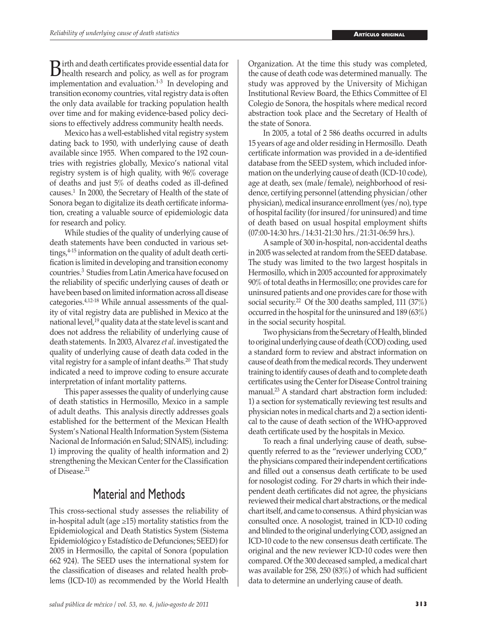**B**irth and death certificates provide essential data for health research and policy, as well as for program implementation and evaluation  $\frac{13}{3}$ . In developing and implementation and evaluation. $1-3$  In developing and transition economy countries, vital registry data is often the only data available for tracking population health over time and for making evidence-based policy decisions to effectively address community health needs.

Mexico has a well-established vital registry system dating back to 1950, with underlying cause of death available since 1955. When compared to the 192 countries with registries globally, Mexico's national vital registry system is of high quality, with 96% coverage of deaths and just 5% of deaths coded as ill-defined causes.<sup>1</sup> In 2000, the Secretary of Health of the state of Sonora began to digitalize its death certificate information, creating a valuable source of epidemiologic data for research and policy.

While studies of the quality of underlying cause of death statements have been conducted in various settings, $4-15$  information on the quality of adult death certification is limited in developing and transition economy countries.<sup>3</sup> Studies from Latin America have focused on the reliability of specific underlying causes of death or have been based on limited information across all disease categories.4,12-18 While annual assessments of the quality of vital registry data are published in Mexico at the national level,<sup>19</sup> quality data at the state level is scant and does not address the reliability of underlying cause of death statements. In 2003, Alvarez *et al*. investigated the quality of underlying cause of death data coded in the vital registry for a sample of infant deaths.<sup>20</sup> That study indicated a need to improve coding to ensure accurate interpretation of infant mortality patterns.

This paper assesses the quality of underlying cause of death statistics in Hermosillo, Mexico in a sample of adult deaths. This analysis directly addresses goals established for the betterment of the Mexican Health System's National Health Information System (Sistema Nacional de Información en Salud; SINAIS), including: 1) improving the quality of health information and 2) strengthening the Mexican Center for the Classification of Disease.21

# Material and Methods

This cross-sectional study assesses the reliability of in-hospital adult (age  $\geq$ 15) mortality statistics from the Epidemiological and Death Statistics System (Sistema Epidemiológico y Estadístico de Defunciones; SEED) for 2005 in Hermosillo, the capital of Sonora (population 662 924). The SEED uses the international system for the classification of diseases and related health problems (ICD-10) as recommended by the World Health

Organization. At the time this study was completed, the cause of death code was determined manually. The study was approved by the University of Michigan Institutional Review Board, the Ethics Committee of El Colegio de Sonora, the hospitals where medical record abstraction took place and the Secretary of Health of the state of Sonora.

In 2005, a total of 2 586 deaths occurred in adults 15 years of age and older residing in Hermosillo. Death certificate information was provided in a de-identified database from the SEED system, which included information on the underlying cause of death (ICD-10 code), age at death, sex (male/female), neighborhood of residence, certifying personnel (attending physician/other physician), medical insurance enrollment (yes/no), type of hospital facility (for insured/for uninsured) and time of death based on usual hospital employment shifts (07:00-14:30 hrs./14:31-21:30 hrs./21:31-06:59 hrs.).

A sample of 300 in-hospital, non-accidental deaths in 2005 was selected at random from the SEED database. The study was limited to the two largest hospitals in Hermosillo, which in 2005 accounted for approximately 90% of total deaths in Hermosillo; one provides care for uninsured patients and one provides care for those with social security.22 Of the 300 deaths sampled, 111 (37%) occurred in the hospital for the uninsured and 189 (63%) in the social security hospital.

Two physicians from the Secretary of Health, blinded to original underlying cause of death (COD) coding, used a standard form to review and abstract information on cause of death from the medical records. They underwent training to identify causes of death and to complete death certificates using the Center for Disease Control training manual.23 A standard chart abstraction form included: 1) a section for systematically reviewing test results and physician notes in medical charts and 2) a section identical to the cause of death section of the WHO-approved death certificate used by the hospitals in Mexico.

To reach a final underlying cause of death, subsequently referred to as the "reviewer underlying COD," the physicians compared their independent certifications and filled out a consensus death certificate to be used for nosologist coding. For 29 charts in which their independent death certificates did not agree, the physicians reviewed their medical chart abstractions, or the medical chart itself, and came to consensus. A third physician was consulted once. A nosologist, trained in ICD-10 coding and blinded to the original underlying COD, assigned an ICD-10 code to the new consensus death certificate. The original and the new reviewer ICD-10 codes were then compared. Of the 300 deceased sampled, a medical chart was available for 258, 250 (83%) of which had sufficient data to determine an underlying cause of death.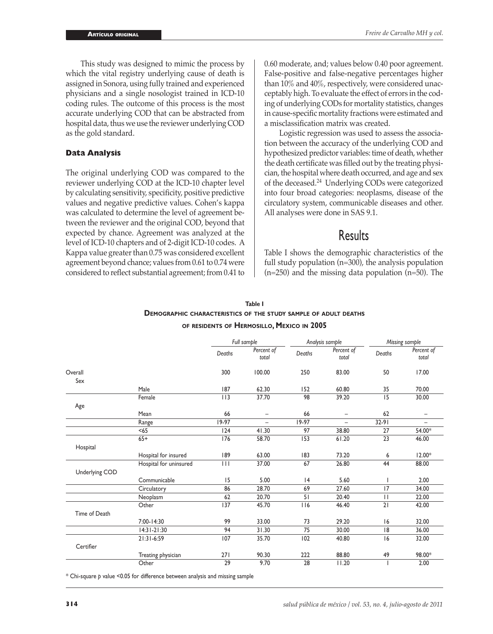This study was designed to mimic the process by which the vital registry underlying cause of death is assigned in Sonora, using fully trained and experienced physicians and a single nosologist trained in ICD-10 coding rules. The outcome of this process is the most accurate underlying COD that can be abstracted from hospital data, thus we use the reviewer underlying COD as the gold standard.

## **Data Analysis**

The original underlying COD was compared to the reviewer underlying COD at the ICD-10 chapter level by calculating sensitivity, specificity, positive predictive values and negative predictive values. Cohen's kappa was calculated to determine the level of agreement between the reviewer and the original COD, beyond that expected by chance. Agreement was analyzed at the level of ICD-10 chapters and of 2-digit ICD-10 codes. A Kappa value greater than 0.75 was considered excellent agreement beyond chance; values from 0.61 to 0.74 were considered to reflect substantial agreement; from 0.41 to 0.60 moderate, and; values below 0.40 poor agreement. False-positive and false-negative percentages higher than 10% and 40%, respectively, were considered unacceptably high. To evaluate the effect of errors in the coding of underlying CODs for mortality statistics, changes in cause-specific mortality fractions were estimated and a misclassification matrix was created.

Logistic regression was used to assess the association between the accuracy of the underlying COD and hypothesized predictor variables: time of death, whether the death certificate was filled out by the treating physician, the hospital where death occurred, and age and sex of the deceased.24 Underlying CODs were categorized into four broad categories: neoplasms, disease of the circulatory system, communicable diseases and other. All analyses were done in SAS 9.1.

## Results

Table I shows the demographic characteristics of the full study population (n=300), the analysis population  $(n=250)$  and the missing data population  $(n=50)$ . The

| Table L                                                                |
|------------------------------------------------------------------------|
| <b>DEMOGRAPHIC CHARACTERISTICS OF THE STUDY SAMPLE OF ADULT DEATHS</b> |
| OF RESIDENTS OF HERMOSILLO, MEXICO IN 2005                             |

|                |                        |              | Full sample              |        | Analysis sample          |              | Missing sample           |
|----------------|------------------------|--------------|--------------------------|--------|--------------------------|--------------|--------------------------|
|                |                        | Deaths       | Percent of<br>total      | Deaths | Percent of<br>total      | Deaths       | Percent of<br>total      |
| Overall        |                        | 300          | 100.00                   | 250    | 83.00                    | 50           | 17.00                    |
| Sex            |                        |              |                          |        |                          |              |                          |
|                | Male                   | 187          | 62.30                    | 152    | 60.80                    | 35           | 70.00                    |
|                | Female                 | 113          | 37.70                    | 98     | 39.20                    | 15           | 30.00                    |
| Age            |                        |              |                          |        |                          |              |                          |
|                | Mean                   | 66           | $\overline{\phantom{0}}$ | 66     | $\overline{\phantom{m}}$ | 62           | $\overline{\phantom{m}}$ |
|                | Range                  | 19-97        |                          | 19-97  |                          | $32 - 91$    |                          |
|                | <65                    | 124          | 41.30                    | 97     | 38.80                    | 27           | 54.00*                   |
|                | $65+$                  | 176          | 58.70                    | 153    | 61.20                    | 23           | 46.00                    |
| Hospital       |                        |              |                          |        |                          |              |                          |
|                | Hospital for insured   | 189          | 63.00                    | 183    | 73.20                    | 6            | $12.00*$                 |
|                | Hospital for uninsured | $\mathbf{H}$ | 37.00                    | 67     | 26.80                    | 44           | 88.00                    |
| Underlying COD |                        |              |                          |        |                          |              |                          |
|                | Communicable           | 15           | 5.00                     | 4      | 5.60                     |              | 2.00                     |
|                | Circulatory            | 86           | 28.70                    | 69     | 27.60                    | 17           | 34.00                    |
|                | Neoplasm               | 62           | 20.70                    | 51     | 20.40                    | $\mathbf{H}$ | 22.00                    |
|                | Other                  | 137          | 45.70                    | 116    | 46.40                    | 21           | 42.00                    |
| Time of Death  |                        |              |                          |        |                          |              |                          |
|                | 7:00-14:30             | 99           | 33.00                    | 73     | 29.20                    | 16           | 32.00                    |
|                | $14:31-21:30$          | 94           | 31.30                    | 75     | 30.00                    | 8            | 36.00                    |
|                | 21:31-6:59             | 107          | 35.70                    | 102    | 40.80                    | 16           | 32.00                    |
| Certifier      |                        |              |                          |        |                          |              |                          |
|                | Treating physician     | 271          | 90.30                    | 222    | 88.80                    | 49           | 98.00*                   |
|                | Other                  | 29           | 9.70                     | 28     | 11.20                    |              | 2.00                     |

\* Chi-square *p* value <0.05 for difference between analysis and missing sample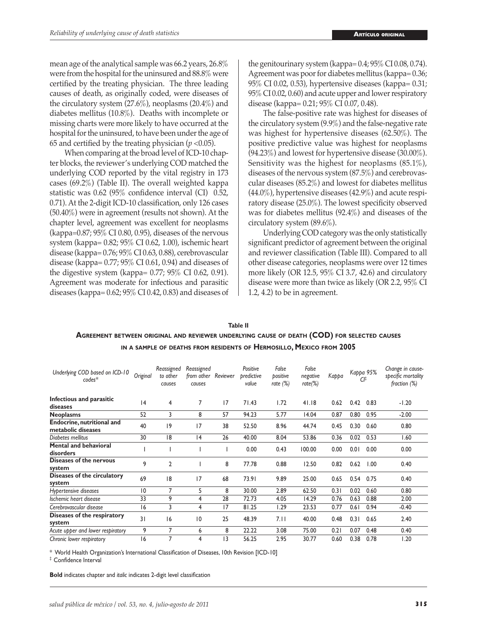mean age of the analytical sample was 66.2 years, 26.8% were from the hospital for the uninsured and 88.8% were certified by the treating physician. The three leading causes of death, as originally coded, were diseases of the circulatory system (27.6%), neoplasms (20.4%) and diabetes mellitus (10.8%). Deaths with incomplete or missing charts were more likely to have occurred at the hospital for the uninsured, to have been under the age of 65 and certified by the treating physician  $(p < 0.05)$ .

When comparing at the broad level of ICD-10 chapter blocks, the reviewer's underlying COD matched the underlying COD reported by the vital registry in 173 cases (69.2%) (Table II). The overall weighted kappa statistic was 0.62 (95% confidence interval (CI) 0.52, 0.71). At the 2-digit ICD-10 classification, only 126 cases (50.40%) were in agreement (results not shown). At the chapter level, agreement was excellent for neoplasms (kappa=0.87; 95% CI 0.80, 0.95), diseases of the nervous system (kappa= 0.82; 95% CI 0.62, 1.00), ischemic heart disease (kappa= 0.76; 95% CI 0.63, 0.88), cerebrovascular disease (kappa= 0.77; 95% CI 0.61, 0.94) and diseases of the digestive system (kappa= 0.77; 95% CI 0.62, 0.91). Agreement was moderate for infectious and parasitic diseases (kappa= 0.62; 95% CI 0.42, 0.83) and diseases of the genitourinary system (kappa= 0.4; 95% CI 0.08, 0.74). Agreement was poor for diabetes mellitus (kappa= 0.36; 95% CI 0.02, 0.53), hypertensive diseases (kappa= 0.31; 95% CI 0.02, 0.60) and acute upper and lower respiratory disease (kappa= 0.21; 95% CI 0.07, 0.48).

The false-positive rate was highest for diseases of the circulatory system (9.9%) and the false-negative rate was highest for hypertensive diseases (62.50%). The positive predictive value was highest for neoplasms (94.23%) and lowest for hypertensive disease (30.00%). Sensitivity was the highest for neoplasms (85.1%), diseases of the nervous system (87.5%) and cerebrovascular diseases (85.2%) and lowest for diabetes mellitus (44.0%), hypertensive diseases (42.9%) and acute respiratory disease (25.0%). The lowest specificity observed was for diabetes mellitus (92.4%) and diseases of the circulatory system (89.6%).

Underlying COD category was the only statistically significant predictor of agreement between the original and reviewer classification (Table III). Compared to all other disease categories, neoplasms were over 12 times more likely (OR 12.5, 95% CI 3.7, 42.6) and circulatory disease were more than twice as likely (OR 2.2, 95% CI 1.2, 4.2) to be in agreement.

| Table II                                                                                    |
|---------------------------------------------------------------------------------------------|
| Agreement between original and reviewer underlying cause of death (COD) for selected causes |
| IN A SAMPLE OF DEATHS FROM RESIDENTS OF HERMOSILLO, MEXICO FROM 2005                        |

| Underlying COD based on ICD-10<br>$codes*$              | Original | Reassigned<br>to other<br>causes | Reassigned<br>from other<br>causes | Reviewer | Positive<br>predictive<br>value | False<br>positive<br>rate $(\%)$ | False<br>negative<br>$rate(\%)$ | Карра |      | Kappa 95%<br>C | Change in cause-<br>specific mortality<br>fraction (%) |
|---------------------------------------------------------|----------|----------------------------------|------------------------------------|----------|---------------------------------|----------------------------------|---------------------------------|-------|------|----------------|--------------------------------------------------------|
| Infectious and parasitic<br>diseases                    | 4        | 4                                | 7                                  | 17       | 71.43                           | 1.72                             | 41.18                           | 0.62  | 0.42 | 0.83           | $-1.20$                                                |
| <b>Neoplasms</b>                                        | 52       | 3                                | 8                                  | 57       | 94.23                           | 5.77                             | 14.04                           | 0.87  | 0.80 | 0.95           | $-2.00$                                                |
| <b>Endocrine, nutritional and</b><br>metabolic diseases | 40       | 9                                | 17                                 | 38       | 52.50                           | 8.96                             | 44.74                           | 0.45  | 0.30 | 0.60           | 0.80                                                   |
| Diabetes mellitus                                       | 30       | 8                                | 4                                  | 26       | 40.00                           | 8.04                             | 53.86                           | 0.36  | 0.02 | 0.53           | 1.60                                                   |
| <b>Mental and behavioral</b><br>disorders               |          |                                  |                                    |          | 0.00                            | 0.43                             | 100.00                          | 0.00  | 0.01 | 0.00           | 0.00                                                   |
| Diseases of the nervous<br>system                       | 9        | $\mathbf{2}$                     |                                    | 8        | 77.78                           | 0.88                             | 12.50                           | 0.82  | 0.62 | 1.00           | 0.40                                                   |
| Diseases of the circulatory<br>system                   | 69       | 8                                | 17                                 | 68       | 73.91                           | 9.89                             | 25.00                           | 0.65  | 0.54 | 0.75           | 0.40                                                   |
| Hypertensive diseases                                   | 0        | 7                                | 5                                  | 8        | 30.00                           | 2.89                             | 62.50                           | 0.31  | 0.02 | 0.60           | 0.80                                                   |
| Ischemic heart disease                                  | 33       | 9                                | 4                                  | 28       | 72.73                           | 4.05                             | 14.29                           | 0.76  | 0.63 | 0.88           | 2.00                                                   |
| Cerebrovascular disease                                 | 6        | 3                                | 4                                  | 17       | 81.25                           | 1.29                             | 23.53                           | 0.77  | 0.61 | 0.94           | $-0.40$                                                |
| Diseases of the respiratory<br>system                   | 31       | 16                               | 10                                 | 25       | 48.39                           | 7.11                             | 40.00                           | 0.48  | 0.31 | 0.65           | 2.40                                                   |
| Acute upper and lower respiratory                       | 9        | 7                                | 6                                  | 8        | 22.22                           | 3.08                             | 75.00                           | 0.21  | 0.07 | 0.48           | 0.40                                                   |
| Chronic lower respiratory                               | 16       | 7                                | 4                                  | 3        | 56.25                           | 2.95                             | 30.77                           | 0.60  | 0.38 | 0.78           | 1.20                                                   |

\* World Health Organization's International Classification of Diseases, 10th Revision [ICD-10]

‡ Confidence Interval

**Bold** indicates chapter and *italic* indicates 2-digit level classification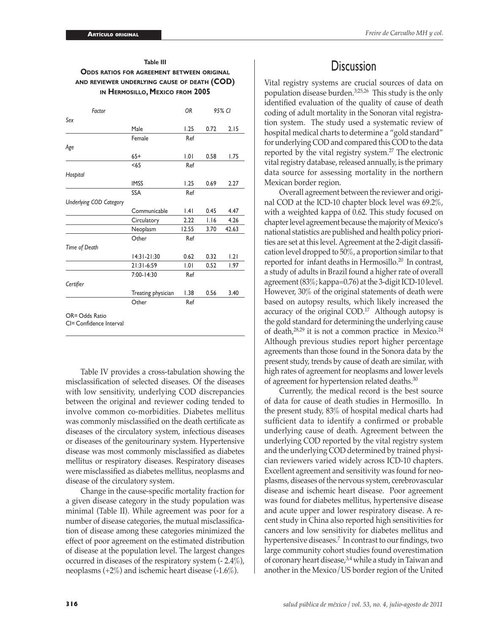## **Table III Odds ratios for agreement between original and reviewer underlying cause of death (COD) in Hermosillo, Mexico from 2005**

| Factor                                    |                    | OR    |      | 95% CI |
|-------------------------------------------|--------------------|-------|------|--------|
| Sex                                       |                    |       |      |        |
|                                           | Male               | 1.25  | 0.72 | 2.15   |
|                                           | Female             | Ref   |      |        |
| Age                                       |                    |       |      |        |
|                                           | $65+$              | 1.01  | 0.58 | 1.75   |
|                                           | <65                | Ref   |      |        |
| Hospital                                  |                    |       |      |        |
|                                           | <b>IMSS</b>        | 1.25  | 0.69 | 2.27   |
|                                           | <b>SSA</b>         | Ref   |      |        |
| <b>Underlying COD Category</b>            |                    |       |      |        |
|                                           | Communicable       | .4    | 0.45 | 4.47   |
|                                           | Circulatory        | 2.22  | 1.16 | 4.26   |
|                                           | Neoplasm           | 12.55 | 3.70 | 42.63  |
|                                           | Other              | Ref   |      |        |
| <b>Time of Death</b>                      |                    |       |      |        |
|                                           | $14:31-21:30$      | 0.62  | 0.32 | 1.21   |
|                                           | $21:31-6:59$       | 1.01  | 0.52 | 1.97   |
|                                           | 7:00-14:30         | Ref   |      |        |
| Certifier                                 |                    |       |      |        |
|                                           | Treating physician | 1.38  | 0.56 | 3.40   |
|                                           | Other              | Ref   |      |        |
| OR= Odds Ratio<br>CI= Confidence Interval |                    |       |      |        |

Table IV provides a cross-tabulation showing the misclassification of selected diseases. Of the diseases with low sensitivity, underlying COD discrepancies between the original and reviewer coding tended to involve common co-morbidities. Diabetes mellitus was commonly misclassified on the death certificate as diseases of the circulatory system, infectious diseases or diseases of the genitourinary system. Hypertensive disease was most commonly misclassified as diabetes mellitus or respiratory diseases. Respiratory diseases were misclassified as diabetes mellitus, neoplasms and disease of the circulatory system.

Change in the cause-specific mortality fraction for a given disease category in the study population was minimal (Table II). While agreement was poor for a number of disease categories, the mutual misclassification of disease among these categories minimized the effect of poor agreement on the estimated distribution of disease at the population level. The largest changes occurred in diseases of the respiratory system (- 2.4%), neoplasms (+2%) and ischemic heart disease (-1.6%).

# **Discussion**

Vital registry systems are crucial sources of data on population disease burden.3;25,26 This study is the only identified evaluation of the quality of cause of death coding of adult mortality in the Sonoran vital registration system. The study used a systematic review of hospital medical charts to determine a "gold standard" for underlying COD and compared this COD to the data reported by the vital registry system.<sup>27</sup> The electronic vital registry database, released annually, is the primary data source for assessing mortality in the northern Mexican border region.

Overall agreement between the reviewer and original COD at the ICD-10 chapter block level was 69.2%, with a weighted kappa of 0.62. This study focused on chapter level agreement because the majority of Mexico's national statistics are published and health policy priorities are set at this level. Agreement at the 2-digit classification level dropped to 50%, a proportion similar to that reported for infant deaths in Hermosillo.20 In contrast, a study of adults in Brazil found a higher rate of overall agreement (83%; kappa=0.76) at the 3-digit ICD-10 level. However, 30% of the original statements of death were based on autopsy results, which likely increased the accuracy of the original COD.17 Although autopsy is the gold standard for determining the underlying cause of death,28,29 it is not a common practice in Mexico.24 Although previous studies report higher percentage agreements than those found in the Sonora data by the present study, trends by cause of death are similar, with high rates of agreement for neoplasms and lower levels of agreement for hypertension related deaths.30

Currently, the medical record is the best source of data for cause of death studies in Hermosillo. In the present study, 83% of hospital medical charts had sufficient data to identify a confirmed or probable underlying cause of death. Agreement between the underlying COD reported by the vital registry system and the underlying COD determined by trained physician reviewers varied widely across ICD-10 chapters. Excellent agreement and sensitivity was found for neoplasms, diseases of the nervous system, cerebrovascular disease and ischemic heart disease. Poor agreement was found for diabetes mellitus, hypertensive disease and acute upper and lower respiratory disease. A recent study in China also reported high sensitivities for cancers and low sensitivity for diabetes mellitus and hypertensive diseases.7 In contrast to our findings, two large community cohort studies found overestimation of coronary heart disease,<sup>3,4</sup> while a study in Taiwan and another in the Mexico/US border region of the United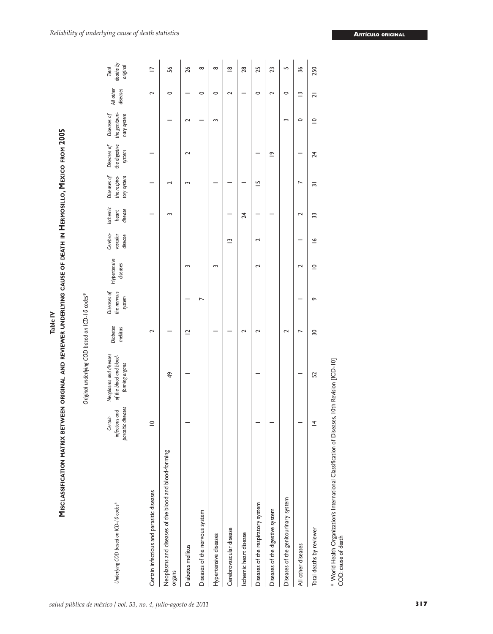Original underlying COD based on ICD-10 codes\* *Original underlying COD based on ICD-10 codes\**

| Underlying COD based on ICD-10 codes*                                                                                 | parasitic diseases<br>infectious and<br>Certain | Neoplasms and diseases<br>of the blood and blood-<br>forming organs | <b>Diabetes</b><br>mellitus | the nervous<br>Diseases of<br>system | Hypertensive<br>diseases | Cerebro-<br>vascular<br>disease | Ischemic<br>disease<br>heart | Diseases of<br>the respira-<br>tory system | the digestive<br>Diseases of<br>system | the genitouri-<br>Diseases of<br>nary system | All other<br>diseases | deaths by<br>original<br>Total |
|-----------------------------------------------------------------------------------------------------------------------|-------------------------------------------------|---------------------------------------------------------------------|-----------------------------|--------------------------------------|--------------------------|---------------------------------|------------------------------|--------------------------------------------|----------------------------------------|----------------------------------------------|-----------------------|--------------------------------|
| Certain infectious and parasitic diseases                                                                             | $\subseteq$                                     |                                                                     | 2                           |                                      |                          |                                 |                              |                                            |                                        |                                              | 2                     | $\overline{\phantom{0}}$       |
| Neoplasms and diseases of the blood and blood-forming<br>organs                                                       |                                                 | $\frac{4}{9}$                                                       |                             |                                      |                          |                                 |                              | $\sim$                                     |                                        |                                              | 0                     | ಜ                              |
| Diabetes mellitus                                                                                                     |                                                 |                                                                     | $\overline{\phantom{0}}$    |                                      | $\sim$                   |                                 |                              | $\sim$                                     | $\sim$                                 | 2                                            |                       | $\frac{8}{5}$                  |
| Diseases of the nervous system                                                                                        |                                                 |                                                                     |                             | ∼                                    |                          |                                 |                              |                                            |                                        |                                              | $\circ$               | $^\infty$                      |
| Hypertensive diseases                                                                                                 |                                                 |                                                                     |                             |                                      | 3                        |                                 |                              |                                            |                                        | $\sim$                                       | $\circ$               | $\infty$                       |
| Cerebrovascular disease                                                                                               |                                                 |                                                                     |                             |                                      |                          | ≃                               |                              |                                            |                                        |                                              | 2                     | ≌                              |
| Ischemic heart disease                                                                                                |                                                 |                                                                     | $\sim$                      |                                      |                          |                                 | $\overline{24}$              |                                            |                                        |                                              |                       | 28                             |
| Diseases of the respiratory system                                                                                    |                                                 |                                                                     | 2                           |                                      | $\sim$                   | 2                               |                              | 뜨                                          |                                        |                                              | $\circ$               | 25                             |
| Diseases of the digestive system                                                                                      |                                                 |                                                                     |                             |                                      |                          |                                 |                              |                                            | ₾                                      |                                              | $\sim$                | 23                             |
| Diseases of the genitourinary system                                                                                  |                                                 |                                                                     | $\sim$                      |                                      |                          |                                 |                              |                                            |                                        | $\sim$                                       | $\circ$               | Ln                             |
| All other diseases                                                                                                    |                                                 |                                                                     | $\overline{ }$              |                                      | 2                        |                                 | $\sim$                       | ∼                                          |                                        | 0                                            | ≅                     | 96                             |
| Total deaths by reviewer                                                                                              | $\overline{4}$                                  | 52                                                                  | 50                          | ò                                    | $\subseteq$              | ≗                               | 33                           | ᆕ                                          | 24                                     | $\subseteq$                                  | ಸ                     | 250                            |
| * World Health Organization's International Classification of Diseases, 10th Revision [ICD-10]<br>COD: cause of death |                                                 |                                                                     |                             |                                      |                          |                                 |                              |                                            |                                        |                                              |                       |                                |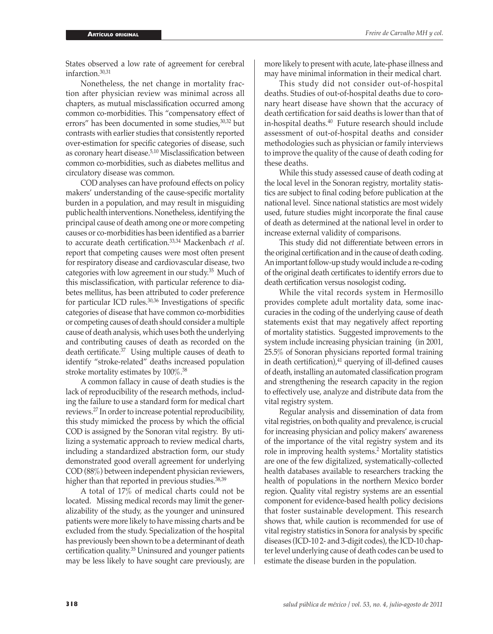States observed a low rate of agreement for cerebral infarction.30,31

Nonetheless, the net change in mortality fraction after physician review was minimal across all chapters, as mutual misclassification occurred among common co-morbidities. This "compensatory effect of errors" has been documented in some studies,  $30,32$  but contrasts with earlier studies that consistently reported over-estimation for specific categories of disease, such as coronary heart disease.5,10 Misclassification between common co-morbidities, such as diabetes mellitus and circulatory disease was common.

COD analyses can have profound effects on policy makers' understanding of the cause-specific mortality burden in a population, and may result in misguiding public health interventions. Nonetheless, identifying the principal cause of death among one or more competing causes or co-morbidities has been identified as a barrier to accurate death certification.33,34 Mackenbach *et al*. report that competing causes were most often present for respiratory disease and cardiovascular disease, two categories with low agreement in our study.35 Much of this misclassification, with particular reference to diabetes mellitus, has been attributed to coder preference for particular ICD rules.30,36 Investigations of specific categories of disease that have common co-morbidities or competing causes of death should consider a multiple cause of death analysis, which uses both the underlying and contributing causes of death as recorded on the death certificate.37 Using multiple causes of death to identify "stroke-related" deaths increased population stroke mortality estimates by 100%.<sup>38</sup>

A common fallacy in cause of death studies is the lack of reproducibility of the research methods, including the failure to use a standard form for medical chart reviews.27 In order to increase potential reproducibility, this study mimicked the process by which the official COD is assigned by the Sonoran vital registry. By utilizing a systematic approach to review medical charts, including a standardized abstraction form, our study demonstrated good overall agreement for underlying COD (88%) between independent physician reviewers, higher than that reported in previous studies. $38,39$ 

A total of 17% of medical charts could not be located. Missing medical records may limit the generalizability of the study, as the younger and uninsured patients were more likely to have missing charts and be excluded from the study. Specialization of the hospital has previously been shown to be a determinant of death certification quality.35 Uninsured and younger patients may be less likely to have sought care previously, are

more likely to present with acute, late-phase illness and may have minimal information in their medical chart.

This study did not consider out-of-hospital deaths. Studies of out-of-hospital deaths due to coronary heart disease have shown that the accuracy of death certification for said deaths is lower than that of in-hospital deaths.40 Future research should include assessment of out-of-hospital deaths and consider methodologies such as physician or family interviews to improve the quality of the cause of death coding for these deaths.

While this study assessed cause of death coding at the local level in the Sonoran registry, mortality statistics are subject to final coding before publication at the national level. Since national statistics are most widely used, future studies might incorporate the final cause of death as determined at the national level in order to increase external validity of comparisons.

This study did not differentiate between errors in the original certification and in the cause of death coding. An important follow-up study would include a re-coding of the original death certificates to identify errors due to death certification versus nosologist coding**.**

While the vital records system in Hermosillo provides complete adult mortality data, some inaccuracies in the coding of the underlying cause of death statements exist that may negatively affect reporting of mortality statistics. Suggested improvements to the system include increasing physician training (in 2001, 25.5% of Sonoran physicians reported formal training in death certification), $41$  querying of ill-defined causes of death, installing an automated classification program and strengthening the research capacity in the region to effectively use, analyze and distribute data from the vital registry system.

Regular analysis and dissemination of data from vital registries, on both quality and prevalence, is crucial for increasing physician and policy makers' awareness of the importance of the vital registry system and its role in improving health systems.<sup>2</sup> Mortality statistics are one of the few digitalized, systematically-collected health databases available to researchers tracking the health of populations in the northern Mexico border region. Quality vital registry systems are an essential component for evidence-based health policy decisions that foster sustainable development. This research shows that, while caution is recommended for use of vital registry statistics in Sonora for analysis by specific diseases (ICD-10 2- and 3-digit codes), the ICD-10 chapter level underlying cause of death codes can be used to estimate the disease burden in the population.